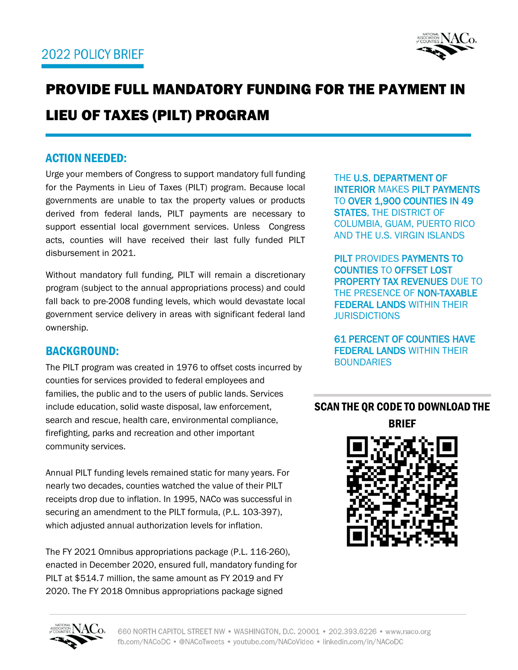

# PROVIDE FULL MANDATORY FUNDING FOR THE PAYMENT IN LIEU OF TAXES (PILT) PROGRAM

# ACTION NEEDED:

Urge your members of Congress to support mandatory full funding for the Payments in Lieu of Taxes (PILT) program. Because local governments are unable to tax the property values or products derived from federal lands, PILT payments are necessary to support essential local government services. Unless Congress acts, counties will have received their last fully funded PILT disbursement in 2021.

Without mandatory full funding, PILT will remain a discretionary program (subject to the annual appropriations process) and could fall back to pre-2008 funding levels, which would devastate local government service delivery in areas with significant federal land ownership.

## BACKGROUND:

The PILT program was created in 1976 to offset costs incurred by counties for services provided to federal employees and families, the public and to the users of public lands. Services include education, solid waste disposal, law enforcement, search and rescue, health care, environmental compliance, firefighting, parks and recreation and other important community services.

Annual PILT funding levels remained static for many years. For nearly two decades, counties watched the value of their PILT receipts drop due to inflation. In 1995, NACo was successful in securing an amendment to the PILT formula, (P.L. 103-397), which adjusted annual authorization levels for inflation.

The FY 2021 Omnibus appropriations package (P.L. 116-260), enacted in December 2020, ensured full, mandatory funding for PILT at \$514.7 million, the same amount as FY 2019 and FY 2020. The FY 2018 Omnibus appropriations package signed

THE U.S. DEPARTMENT OF INTERIOR MAKES PILT PAYMENTS TO OVER 1,900 COUNTIES IN 49 STATES, THE DISTRICT OF COLUMBIA, GUAM, PUERTO RICO AND THE U.S. VIRGIN ISLANDS

PILT PROVIDES PAYMENTS TO COUNTIES TO OFFSET LOST PROPERTY TAX REVENUES DUE TO THE PRESENCE OF NON-TAXABLE FEDERAL LANDS WITHIN THEIR **JURISDICTIONS** 

61 PERCENT OF COUNTIES HAVE FEDERAL LANDS WITHIN THEIR **BOUNDARIES** 

SCAN THE QR CODE TO DOWNLOAD THE



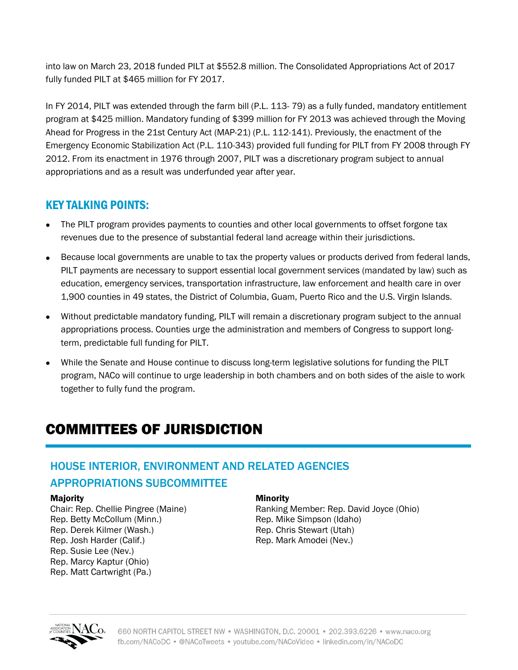into law on March 23, 2018 funded PILT at \$552.8 million. The Consolidated Appropriations Act of 2017 fully funded PILT at \$465 million for FY 2017.

In FY 2014, PILT was extended through the farm bill (P.L. 113- 79) as a fully funded, mandatory entitlement program at \$425 million. Mandatory funding of \$399 million for FY 2013 was achieved through the Moving Ahead for Progress in the 21st Century Act (MAP-21) (P.L. 112-141). Previously, the enactment of the Emergency Economic Stabilization Act (P.L. 110-343) provided full funding for PILT from FY 2008 through FY 2012. From its enactment in 1976 through 2007, PILT was a discretionary program subject to annual appropriations and as a result was underfunded year after year.

# KEY TALKING POINTS:

- The PILT program provides payments to counties and other local governments to offset forgone tax revenues due to the presence of substantial federal land acreage within their jurisdictions.
- Because local governments are unable to tax the property values or products derived from federal lands, PILT payments are necessary to support essential local government services (mandated by law) such as education, emergency services, transportation infrastructure, law enforcement and health care in over 1,900 counties in 49 states, the District of Columbia, Guam, Puerto Rico and the U.S. Virgin Islands.
- Without predictable mandatory funding, PILT will remain a discretionary program subject to the annual appropriations process. Counties urge the administration and members of Congress to support longterm, predictable full funding for PILT.
- While the Senate and House continue to discuss long-term legislative solutions for funding the PILT program, NACo will continue to urge leadership in both chambers and on both sides of the aisle to work together to fully fund the program.

# COMMITTEES OF JURISDICTION

# HOUSE INTERIOR, ENVIRONMENT AND RELATED AGENCIES APPROPRIATIONS SUBCOMMITTEE

#### Majority

Chair: Rep. Chellie Pingree (Maine) Rep. Betty McCollum (Minn.) Rep. Derek Kilmer (Wash.) Rep. Josh Harder (Calif.) Rep. Susie Lee (Nev.) Rep. Marcy Kaptur (Ohio) Rep. Matt Cartwright (Pa.)

#### Minority

Ranking Member: Rep. David Joyce (Ohio) Rep. Mike Simpson (Idaho) Rep. Chris Stewart (Utah) Rep. Mark Amodei (Nev.)

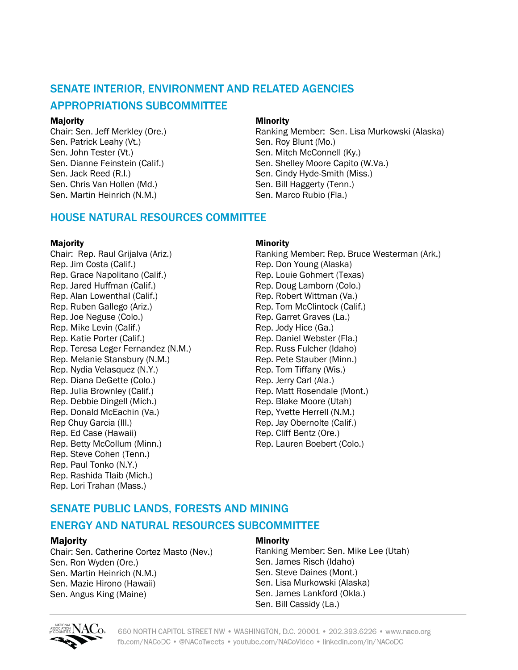# SENATE INTERIOR, ENVIRONMENT AND RELATED AGENCIES

## APPROPRIATIONS SUBCOMMITTEE

#### Majority

Chair: Sen. Jeff Merkley (Ore.) Sen. Patrick Leahy (Vt.) Sen. John Tester (Vt.) Sen. Dianne Feinstein (Calif.) Sen. Jack Reed (R.I.) Sen. Chris Van Hollen (Md.) Sen. Martin Heinrich (N.M.)

#### Minority

Ranking Member: Sen. Lisa Murkowski (Alaska) Sen. Roy Blunt (Mo.) Sen. Mitch McConnell (Ky.) Sen. Shelley Moore Capito (W.Va.) Sen. Cindy Hyde-Smith (Miss.) Sen. Bill Haggerty (Tenn.) Sen. Marco Rubio (Fla.)

## HOUSE NATURAL RESOURCES COMMITTEE

#### **Majority**

Chair: Rep. Raul Grijalva (Ariz.) Rep. Jim Costa (Calif.) Rep. Grace Napolitano (Calif.) Rep. Jared Huffman (Calif.) Rep. Alan Lowenthal (Calif.) Rep. Ruben Gallego (Ariz.) Rep. Joe Neguse (Colo.) Rep. Mike Levin (Calif.) Rep. Katie Porter (Calif.) Rep. Teresa Leger Fernandez (N.M.) Rep. Melanie Stansbury (N.M.) Rep. Nydia Velasquez (N.Y.) Rep. Diana DeGette (Colo.) Rep. Julia Brownley (Calif.) Rep. Debbie Dingell (Mich.) Rep. Donald McEachin (Va.) Rep Chuy Garcia (Ill.) Rep. Ed Case (Hawaii) Rep. Betty McCollum (Minn.) Rep. Steve Cohen (Tenn.) Rep. Paul Tonko (N.Y.) Rep. Rashida Tlaib (Mich.) Rep. Lori Trahan (Mass.)

#### Minority

Ranking Member: Rep. Bruce Westerman (Ark.) Rep. Don Young (Alaska) Rep. Louie Gohmert (Texas) Rep. Doug Lamborn (Colo.) Rep. Robert Wittman (Va.) Rep. Tom McClintock (Calif.) Rep. Garret Graves (La.) Rep. Jody Hice (Ga.) Rep. Daniel Webster (Fla.) Rep. Russ Fulcher (Idaho) Rep. Pete Stauber (Minn.) Rep. Tom Tiffany (Wis.) Rep. Jerry Carl (Ala.) Rep. Matt Rosendale (Mont.) Rep. Blake Moore (Utah) Rep, Yvette Herrell (N.M.) Rep. Jay Obernolte (Calif.) Rep. Cliff Bentz (Ore.) Rep. Lauren Boebert (Colo.)

# SENATE PUBLIC LANDS, FORESTS AND MINING

## ENERGY AND NATURAL RESOURCES SUBCOMMITTEE

### **Majority**

Chair: Sen. Catherine Cortez Masto (Nev.) Sen. Ron Wyden (Ore.) Sen. Martin Heinrich (N.M.) Sen. Mazie Hirono (Hawaii) Sen. Angus King (Maine)

#### Minority

Ranking Member: Sen. Mike Lee (Utah) Sen. James Risch (Idaho) Sen. Steve Daines (Mont.) Sen. Lisa Murkowski (Alaska) Sen. James Lankford (Okla.) Sen. Bill Cassidy (La.)